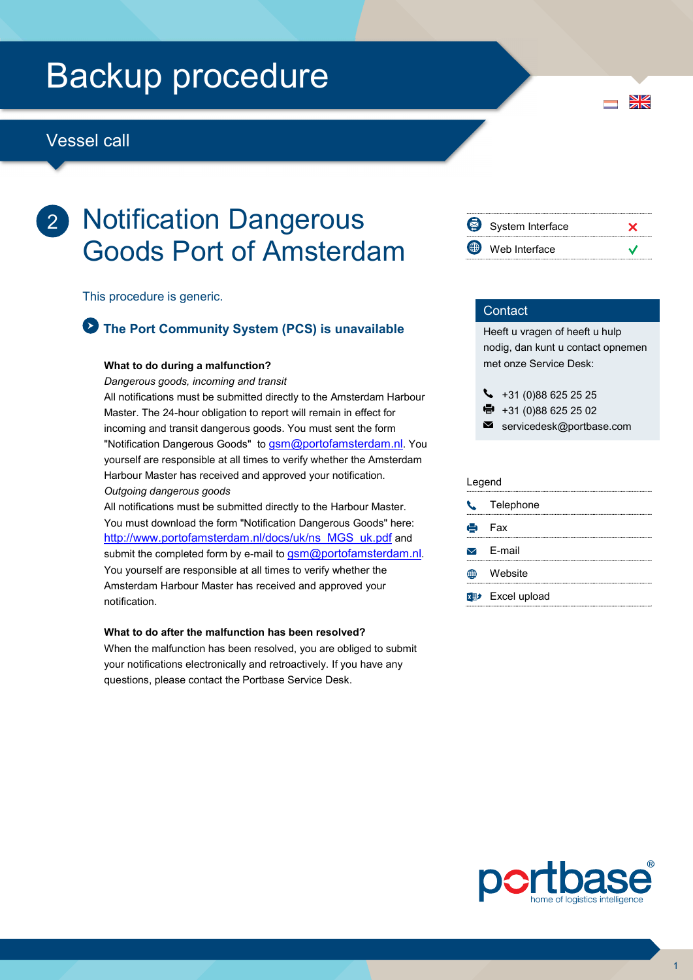## Backup procedure

## Vessel call

## 2 Notification Dangerous Goods Port of Amsterdam

This procedure is generic.

## The Port Community System (PCS) is unavailable

#### What to do during a malfunction?

Dangerous goods, incoming and transit

All notifications must be submitted directly to the Amsterdam Harbour Master. The 24-hour obligation to report will remain in effect for incoming and transit dangerous goods. You must sent the form "Notification Dangerous Goods" to **gsm@portofamsterdam.nl.** You yourself are responsible at all times to verify whether the Amsterdam Harbour Master has received and approved your notification. Outgoing dangerous goods

All notifications must be submitted directly to the Harbour Master. You must download the form "Notification Dangerous Goods" here: http://www.portofamsterdam.nl/docs/uk/ns\_MGS\_uk.pdf and submit the completed form by e-mail to gsm@portofamsterdam.nl. You yourself are responsible at all times to verify whether the Amsterdam Harbour Master has received and approved your notification.

#### What to do after the malfunction has been resolved?

When the malfunction has been resolved, you are obliged to submit your notifications electronically and retroactively. If you have any questions, please contact the Portbase Service Desk.



#### **Contact**

Heeft u vragen of heeft u hulp nodig, dan kunt u contact opnemen met onze Service Desk:

- $\begin{array}{r} \bigstar \ *31 \ (0)88 \ 625 \ 25 \ 25 \end{array}$
- +31 (0)88 625 25 02
- $\blacksquare$ servicedesk@portbase.com

#### Legend

| $\mathcal{L}$ | Telephone                               |
|---------------|-----------------------------------------|
|               | e Fax                                   |
|               | $\triangleright$ E-mail                 |
|               | Website                                 |
|               | <b>x</b> <sup>p+</sup> Excel upload<br> |



 $\frac{N}{N}$